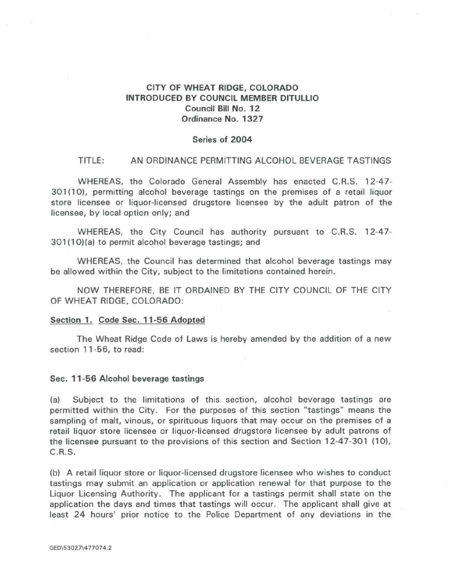# CITY OF WHEAT RIDGE, COLORADO INTRODUCED BY COUNCIL MEMBER DITULLIO Council Bill No. 12 Ordinance No. 1327

## Series of 2004

#### TITLE: AN ORDINANCE PERMITTING ALCOHOL BEVERAGE TASTINGS

WHEREAS, the Colorado General Assembly has enacted C.R.S. 12-47- 301(10), permitting alcohol beverage tastings on the premises of a retail liquor store licensee or liquor-licensed drugstore licensee by the adult patron of the licensee, by local option only; and

WHEREAS, the City Council has authority pursuant to C.R.S. 12-47- 301(10)(a) to permit alcohol beverage tastings; and

WHEREAS, the Council has determined that alcohol beverage tastings may be allowed within the City, subject to the limitations contained herein.

NOW THEREFORE, BE IT ORDAINED BY THE CITY COUNCIL OF THE CITY OF WHEAT RIDGE, COLORADO:

### Section 1. Code Sec. 11-56 Adopted

The Wheat Ridge Code of Laws is hereby amended by the addition of a new section 11-56, to read:

## Sec. 11-56 Alcohol beverage tastings

(a) Subject to the limitations of this section, alcohol beverage tastings are permitted within the City. For the purposes of this section "tastings" means the sampling of malt, vinous, or spirituous liquors that may occur on the premises of a retail liquor store licensee or liquor-licensed drugstore licensee by adult patrons of the licensee pursuant to the provisions of this section and Section 12-47-301 (10), C.R.S.

(b) A retail liquor store or liquor-licensed drugstore licensee who wishes to conduct tastings may submit an application or application renewal for that purpose to the Liquor Licensing Authority. The applicant for a tastings permit shall state on the application the days and times that tastings will occur. The applicant shall give at least 24 hours' prior notice to the Police Department of any deviations in the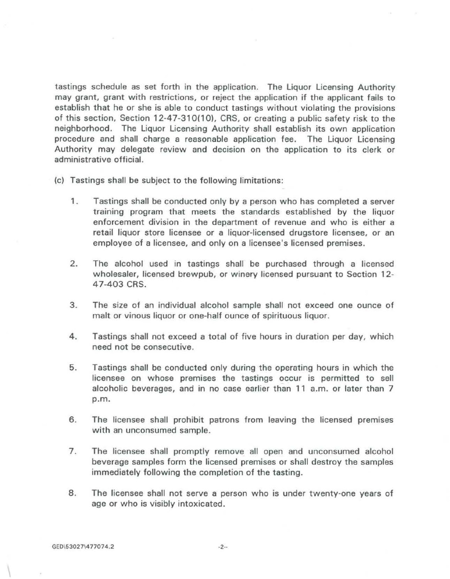tastings schedule as set forth in the application. The Liquor Licensing Authority may grant, grant with restrictions, or reject the application if the applicant fails to establish that he or she is able to conduct tastings without violating the provisions of this section, Section 12-47-310(10), CRS, or creating a public safety risk to the neighborhood. The Liquor Licensing Authority shall establish its own application procedure and shall charge a reasonable application fee. The Liquor Licensing Authority may delegate review and decision on the application to its clerk or administrative official.

- (c) Tastings shall be subject to the following limitations:
	- 1. Tastings shall be conducted only by a person who has completed a server training program that meets the standards established by the liquor enforcement division in the department of revenue and who is either a retail liquor store licensee or a liquor-licensed drugstore licensee, or an employee of a licensee, and only on a licensee's licensed premises.
	- 2. The alcohol used in tastings shall be purchased through a licensed wholesaler, licensed brewpub, or winery licensed pursuant to Section 12- 47-403 CRS.
	- 3. The size of an individual alcohol sample shall not exceed one ounce of malt or vinous liquor or one-half ounce of spirituous liquor.
	- 4. Tastings shall not exceed a total of five hours in duration per day, which need not be consecutive.
	- 5. Tastings shall be conducted only during the operating hours in which the licensee on whose premises the tastings occur is permitted to sell alcoholic beverages, and in no case earlier than 11 a.m. or later than 7 p.m.
	- 6. The licensee shall prohibit patrons from leaving the licensed premises with an unconsumed sample.
	- 7. The licensee shall promptly remove all open and unconsumed alcohol beverage samples form the licensed premises or shall destroy the samples immediately following the completion of the tasting.
	- 8. The licensee shall not serve a person who is under twenty-one years of age or who is visibly intoxicated.

 $\mathcal{L}$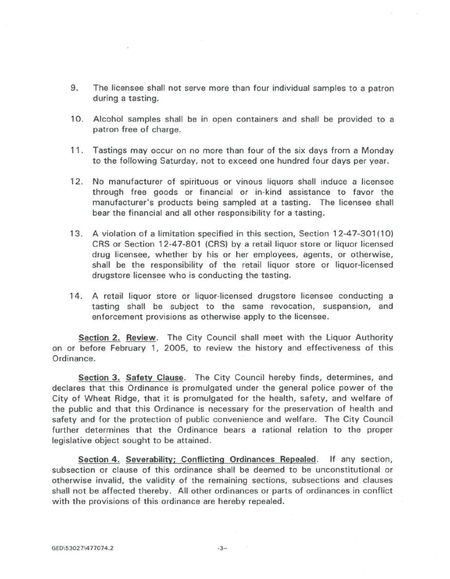- 9. The licensee shall not serve more than four individual samples to a patron during a tasting.
- 10. Alcohol samples shall be in open containers and shall be provided to a patron free of charge.
- 11. Tastings may occur on no more than four of the six days from a Monday to the following Saturday, not to exceed one hundred four days per year.
- 12. No manufacturer of spirituous or vinous liquors shall induce a licensee through free goods or financial or in-kind assistance to favor the manufacturer's products being sampled at a tasting. The licensee shall bear the financial and all other responsibility for a tasting.
- 13. A violation of a limitation specified in this section, Section 12-47-301(10) CRS or Section 12-47-801 (CRS) by a retail liquor store or liquor licensed drug licensee, whether by his or her employees, agents, or otherwise, shall be the responsibility of the retail liquor store or liquor-licensed drugstore licensee who is conducting the tasting.
- 14. A retail liquor store or liquor-licensed drugstore licensee conducting a tasting shall be subject to the same revocation, suspension, and enforcement provisions as otherwise apply to the licensee.

Section 2. Review. The City Council shall meet with the Liquor Authority on or before February 1, 2005, to review the history and effectiveness of this Ordinance.

Section 3. Safety Clause. The City Council hereby finds, determines, and declares that this Ordinance is promulgated under the general police power of the City of Wheat Ridge, that it is promulgated for the health, safety, and welfare of the public and that this Ordinance is necessary for the preservation of health and safety and for the protection of public convenience and welfare. The City Council further determines that the Ordinance bears a rational relation to the proper legislative object sought to be attained.

Section 4. Severability; Conflicting Ordinances Repealed. If any section, subsection or clause of this ordinance shall be deemed to be unconstitutional or otherwise invalid, the validity of the remaining sections, subsections and clauses shall not be affected thereby. All other ordinances or parts of ordinances in conflict with the provisions of this ordinance are hereby repealed.